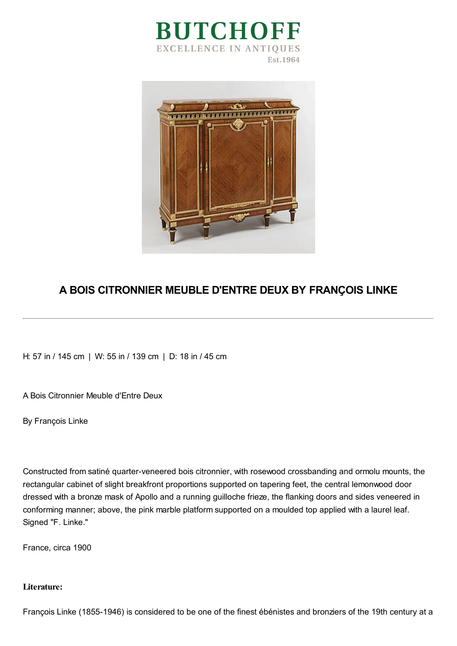



## **A BOIS CITRONNIER MEUBLE D'ENTRE DEUX BY FRANÇOIS LINKE**

H: 57 in / 145 cm | W: 55 in / 139 cm | D: 18 in / 45 cm

A Bois Citronnier Meuble d'Entre Deux

By François Linke

Constructed from satiné quarter-veneered bois citronnier, with rosewood crossbanding and ormolu mounts, the rectangular cabinet of slight breakfront proportions supported on tapering feet, the central lemonwood door dressed with a bronze mask of Apollo and a running guilloche frieze, the flanking doors and sides veneered in conforming manner; above, the pink marble platform supported on a moulded top applied with a laurel leaf. Signed "F. Linke."

France, circa 1900

## **Literature:**

François Linke (1855-1946) is considered to be one of the finest ébénistes and bronziers of the 19th century at a